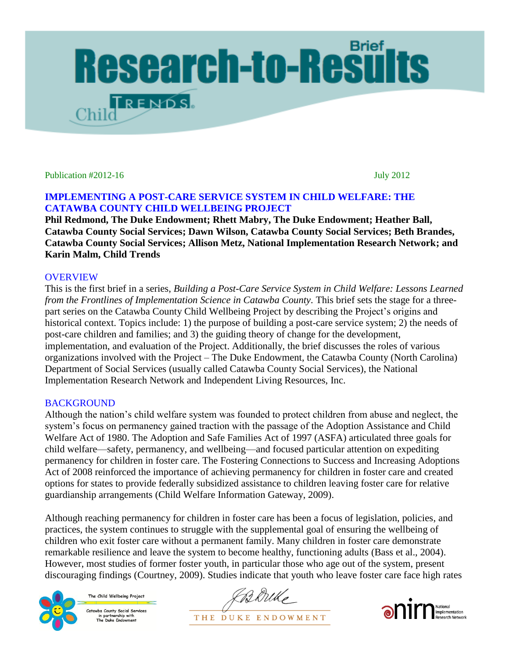

Publication #2012-16 July 2012

# **IMPLEMENTING A POST-CARE SERVICE SYSTEM IN CHILD WELFARE: THE CATAWBA COUNTY CHILD WELLBEING PROJECT**

**Phil Redmond, The Duke Endowment; Rhett Mabry, The Duke Endowment; Heather Ball, Catawba County Social Services; Dawn Wilson, Catawba County Social Services; Beth Brandes, Catawba County Social Services; Allison Metz, National Implementation Research Network; and Karin Malm, Child Trends**

# **OVERVIEW**

This is the first brief in a series, *Building a Post-Care Service System in Child Welfare: Lessons Learned from the Frontlines of Implementation Science in Catawba County.* This brief sets the stage for a threepart series on the Catawba County Child Wellbeing Project by describing the Project's origins and historical context. Topics include: 1) the purpose of building a post-care service system; 2) the needs of post-care children and families; and 3) the guiding theory of change for the development, implementation, and evaluation of the Project. Additionally, the brief discusses the roles of various organizations involved with the Project – The Duke Endowment, the Catawba County (North Carolina) Department of Social Services (usually called Catawba County Social Services), the National Implementation Research Network and Independent Living Resources, Inc.

# **BACKGROUND**

Although the nation's child welfare system was founded to protect children from abuse and neglect, the system's focus on permanency gained traction with the passage of the Adoption Assistance and Child Welfare Act of 1980. The Adoption and Safe Families Act of 1997 (ASFA) articulated three goals for child welfare—safety, permanency, and wellbeing—and focused particular attention on expediting permanency for children in foster care. The Fostering Connections to Success and Increasing Adoptions Act of 2008 reinforced the importance of achieving permanency for children in foster care and created options for states to provide federally subsidized assistance to children leaving foster care for relative guardianship arrangements (Child Welfare Information Gateway, 2009).

Although reaching permanency for children in foster care has been a focus of legislation, policies, and practices, the system continues to struggle with the supplemental goal of ensuring the wellbeing of children who exit foster care without a permanent family. Many children in foster care demonstrate remarkable resilience and leave the system to become healthy, functioning adults (Bass et al., 2004). However, most studies of former foster youth, in particular those who age out of the system, present discouraging findings (Courtney, 2009). Studies indicate that youth who leave foster care face high rates



The Child Wellbeing Project Catawba County Social Services in partnership with<br>The Duke Endowment

Berrike THE DUKE ENDOWMENT

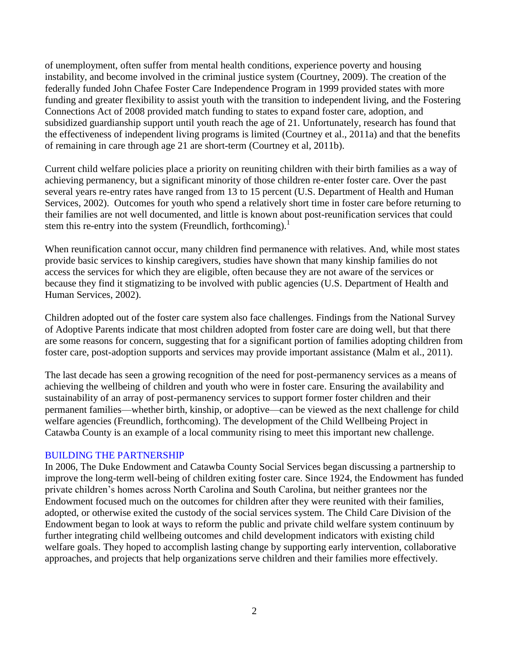of unemployment, often suffer from mental health conditions, experience poverty and housing instability, and become involved in the criminal justice system (Courtney, 2009). The creation of the federally funded John Chafee Foster Care Independence Program in 1999 provided states with more funding and greater flexibility to assist youth with the transition to independent living, and the Fostering Connections Act of 2008 provided match funding to states to expand foster care, adoption, and subsidized guardianship support until youth reach the age of 21. Unfortunately, research has found that the effectiveness of independent living programs is limited (Courtney et al., 2011a) and that the benefits of remaining in care through age 21 are short-term (Courtney et al, 2011b).

Current child welfare policies place a priority on reuniting children with their birth families as a way of achieving permanency, but a significant minority of those children re-enter foster care. Over the past several years re-entry rates have ranged from 13 to 15 percent (U.S. Department of Health and Human Services, 2002). Outcomes for youth who spend a relatively short time in foster care before returning to their families are not well documented, and little is known about post-reunification services that could stem this re-entry into the system (Freundlich, forthcoming).<sup>1</sup>

When reunification cannot occur, many children find permanence with relatives. And, while most states provide basic services to kinship caregivers, studies have shown that many kinship families do not access the services for which they are eligible, often because they are not aware of the services or because they find it stigmatizing to be involved with public agencies (U.S. Department of Health and Human Services, 2002).

Children adopted out of the foster care system also face challenges. Findings from the National Survey of Adoptive Parents indicate that most children adopted from foster care are doing well, but that there are some reasons for concern, suggesting that for a significant portion of families adopting children from foster care, post-adoption supports and services may provide important assistance (Malm et al., 2011).

The last decade has seen a growing recognition of the need for post-permanency services as a means of achieving the wellbeing of children and youth who were in foster care. Ensuring the availability and sustainability of an array of post-permanency services to support former foster children and their permanent families—whether birth, kinship, or adoptive—can be viewed as the next challenge for child welfare agencies (Freundlich, forthcoming). The development of the Child Wellbeing Project in Catawba County is an example of a local community rising to meet this important new challenge.

### BUILDING THE PARTNERSHIP

In 2006, The Duke Endowment and Catawba County Social Services began discussing a partnership to improve the long-term well-being of children exiting foster care. Since 1924, the Endowment has funded private children's homes across North Carolina and South Carolina, but neither grantees nor the Endowment focused much on the outcomes for children after they were reunited with their families, adopted, or otherwise exited the custody of the social services system. The Child Care Division of the Endowment began to look at ways to reform the public and private child welfare system continuum by further integrating child wellbeing outcomes and child development indicators with existing child welfare goals. They hoped to accomplish lasting change by supporting early intervention, collaborative approaches, and projects that help organizations serve children and their families more effectively.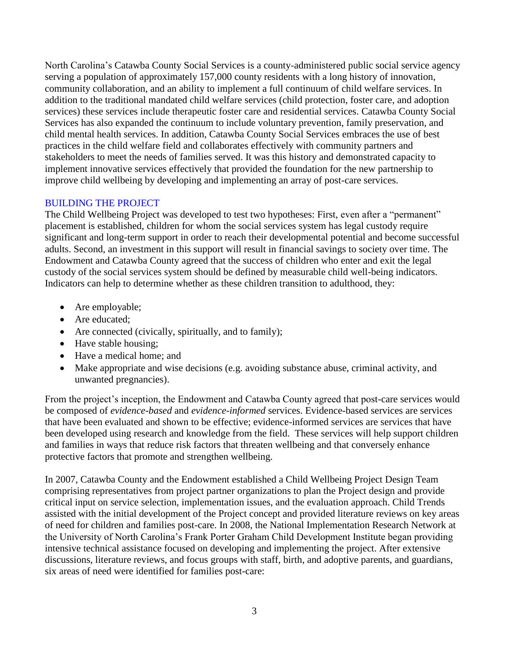North Carolina's Catawba County Social Services is a county-administered public social service agency serving a population of approximately 157,000 county residents with a long history of innovation, community collaboration, and an ability to implement a full continuum of child welfare services. In addition to the traditional mandated child welfare services (child protection, foster care, and adoption services) these services include therapeutic foster care and residential services. Catawba County Social Services has also expanded the continuum to include voluntary prevention, family preservation, and child mental health services. In addition, Catawba County Social Services embraces the use of best practices in the child welfare field and collaborates effectively with community partners and stakeholders to meet the needs of families served. It was this history and demonstrated capacity to implement innovative services effectively that provided the foundation for the new partnership to improve child wellbeing by developing and implementing an array of post-care services.

# BUILDING THE PROJECT

The Child Wellbeing Project was developed to test two hypotheses: First, even after a "permanent" placement is established, children for whom the social services system has legal custody require significant and long-term support in order to reach their developmental potential and become successful adults. Second, an investment in this support will result in financial savings to society over time. The Endowment and Catawba County agreed that the success of children who enter and exit the legal custody of the social services system should be defined by measurable child well-being indicators. Indicators can help to determine whether as these children transition to adulthood, they:

- Are employable;
- Are educated;
- Are connected (civically, spiritually, and to family);
- Have stable housing;
- Have a medical home; and
- Make appropriate and wise decisions (e.g. avoiding substance abuse, criminal activity, and unwanted pregnancies).

From the project's inception, the Endowment and Catawba County agreed that post-care services would be composed of *evidence-based* and *evidence-informed* services. Evidence-based services are services that have been evaluated and shown to be effective; evidence-informed services are services that have been developed using research and knowledge from the field. These services will help support children and families in ways that reduce risk factors that threaten wellbeing and that conversely enhance protective factors that promote and strengthen wellbeing.

In 2007, Catawba County and the Endowment established a Child Wellbeing Project Design Team comprising representatives from project partner organizations to plan the Project design and provide critical input on service selection, implementation issues, and the evaluation approach. Child Trends assisted with the initial development of the Project concept and provided literature reviews on key areas of need for children and families post-care. In 2008, the National Implementation Research Network at the University of North Carolina's Frank Porter Graham Child Development Institute began providing intensive technical assistance focused on developing and implementing the project. After extensive discussions, literature reviews, and focus groups with staff, birth, and adoptive parents, and guardians, six areas of need were identified for families post-care: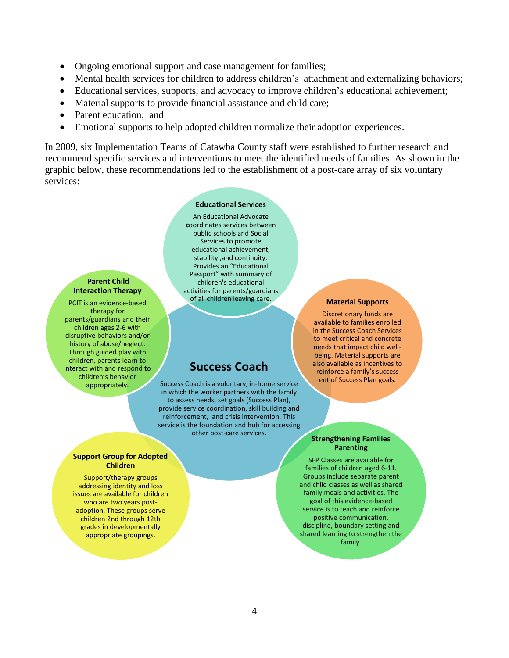- Ongoing emotional support and case management for families;
- Mental health services for children to address children's attachment and externalizing behaviors;
- Educational services, supports, and advocacy to improve children's educational achievement;
- Material supports to provide financial assistance and child care;
- Parent education: and
- Emotional supports to help adopted children normalize their adoption experiences.

In 2009, six Implementation Teams of Catawba County staff were established to further research and recommend specific services and interventions to meet the identified needs of families. As shown in the graphic below, these recommendations led to the establishment of a post-care array of six voluntary services:

#### **Educational Services**

**Parent Child Interaction Therapy** 

PCIT is an evidence-based therapy for parents/guardians and their children ages 2-6 with disruptive behaviors and/or history of abuse/neglect. Through guided play with children, parents learn to interact with and respond to children's behavior appropriately.

An Educational Advocate **c**oordinates services between public schools and Social Services to promote educational achievement, stability ,and continuity. Provides an "Educational Passport" with summary of children's educational activities for parents/guardians of all children leaving care.

# **Success Coach**

Success Coach is a voluntary, in-home service in which the worker partners with the family to assess needs, set goals (Success Plan), provide service coordination, skill building and reinforcement, and crisis intervention. This service is the foundation and hub for accessing other post-care services.

#### **Material Supports**

Discretionary funds are available to families enrolled in the Success Coach Services to meet critical and concrete needs that impact child wellbeing. Material supports are also available as incentives to reinforce a family's success ent of Success Plan goals.

### **Strengthening Families Parenting**

SFP Classes are available for families of children aged 6-11. Groups include separate parent and child classes as well as shared family meals and activities. The goal of this evidence-based service is to teach and reinforce positive communication, discipline, boundary setting and shared learning to strengthen the family.

#### **Support Group for Adopted Children**

Support/therapy groups addressing identity and loss issues are available for children who are two years postadoption. These groups serve children 2nd through 12th grades in developmentally appropriate groupings.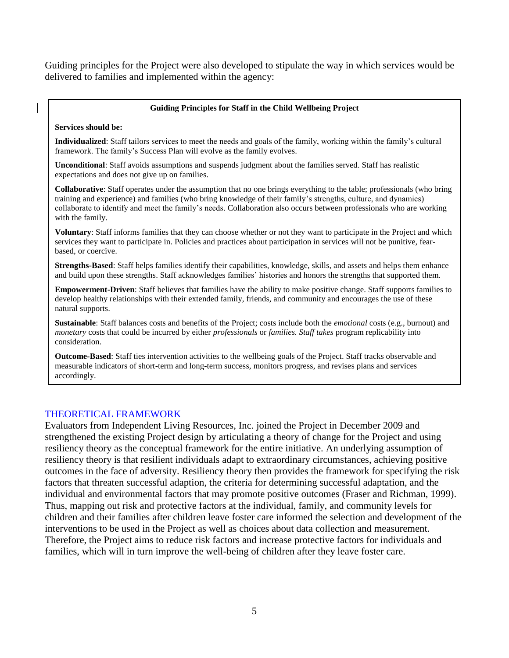Guiding principles for the Project were also developed to stipulate the way in which services would be delivered to families and implemented within the agency:

#### **Guiding Principles for Staff in the Child Wellbeing Project**

#### **Services should be:**

**Individualized**: Staff tailors services to meet the needs and goals of the family, working within the family's cultural framework. The family's Success Plan will evolve as the family evolves.

**Unconditional**: Staff avoids assumptions and suspends judgment about the families served. Staff has realistic expectations and does not give up on families.

**Collaborative**: Staff operates under the assumption that no one brings everything to the table; professionals (who bring training and experience) and families (who bring knowledge of their family's strengths, culture, and dynamics) collaborate to identify and meet the family's needs. Collaboration also occurs between professionals who are working with the family.

**Voluntary**: Staff informs families that they can choose whether or not they want to participate in the Project and which services they want to participate in. Policies and practices about participation in services will not be punitive, fearbased, or coercive.

**Strengths-Based**: Staff helps families identify their capabilities, knowledge, skills, and assets and helps them enhance and build upon these strengths. Staff acknowledges families' histories and honors the strengths that supported them.

**Empowerment-Driven**: Staff believes that families have the ability to make positive change. Staff supports families to develop healthy relationships with their extended family, friends, and community and encourages the use of these natural supports.

**Sustainable**: Staff balances costs and benefits of the Project; costs include both the *emotional* costs (e.g., burnout) and *monetary* costs that could be incurred by either *professionals* or *families. Staff takes* program replicability into consideration.

**Outcome-Based**: Staff ties intervention activities to the wellbeing goals of the Project. Staff tracks observable and measurable indicators of short-term and long-term success, monitors progress, and revises plans and services accordingly.

### THEORETICAL FRAMEWORK

Evaluators from Independent Living Resources, Inc. joined the Project in December 2009 and strengthened the existing Project design by articulating a theory of change for the Project and using resiliency theory as the conceptual framework for the entire initiative. An underlying assumption of resiliency theory is that resilient individuals adapt to extraordinary circumstances, achieving positive outcomes in the face of adversity. Resiliency theory then provides the framework for specifying the risk factors that threaten successful adaption, the criteria for determining successful adaptation, and the individual and environmental factors that may promote positive outcomes (Fraser and Richman, 1999). Thus, mapping out risk and protective factors at the individual, family, and community levels for children and their families after children leave foster care informed the selection and development of the interventions to be used in the Project as well as choices about data collection and measurement. Therefore, the Project aims to reduce risk factors and increase protective factors for individuals and families, which will in turn improve the well-being of children after they leave foster care.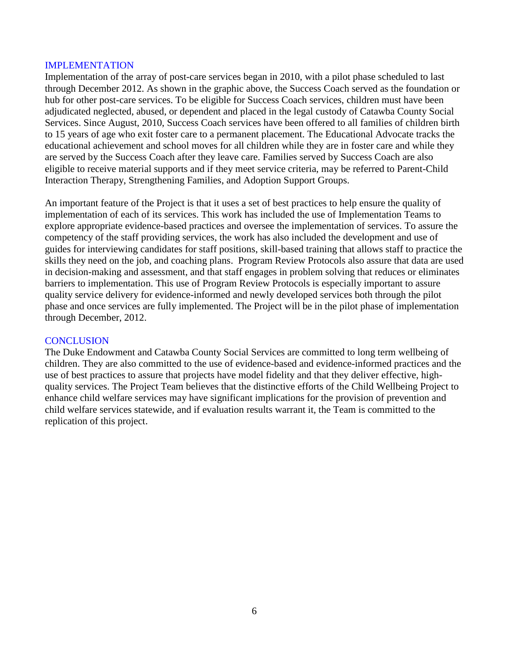### IMPLEMENTATION

Implementation of the array of post-care services began in 2010, with a pilot phase scheduled to last through December 2012. As shown in the graphic above, the Success Coach served as the foundation or hub for other post-care services. To be eligible for Success Coach services, children must have been adjudicated neglected, abused, or dependent and placed in the legal custody of Catawba County Social Services. Since August, 2010, Success Coach services have been offered to all families of children birth to 15 years of age who exit foster care to a permanent placement. The Educational Advocate tracks the educational achievement and school moves for all children while they are in foster care and while they are served by the Success Coach after they leave care. Families served by Success Coach are also eligible to receive material supports and if they meet service criteria, may be referred to Parent-Child Interaction Therapy, Strengthening Families, and Adoption Support Groups.

An important feature of the Project is that it uses a set of best practices to help ensure the quality of implementation of each of its services. This work has included the use of Implementation Teams to explore appropriate evidence-based practices and oversee the implementation of services. To assure the competency of the staff providing services, the work has also included the development and use of guides for interviewing candidates for staff positions, skill-based training that allows staff to practice the skills they need on the job, and coaching plans. Program Review Protocols also assure that data are used in decision-making and assessment, and that staff engages in problem solving that reduces or eliminates barriers to implementation. This use of Program Review Protocols is especially important to assure quality service delivery for evidence-informed and newly developed services both through the pilot phase and once services are fully implemented. The Project will be in the pilot phase of implementation through December, 2012.

### **CONCLUSION**

The Duke Endowment and Catawba County Social Services are committed to long term wellbeing of children. They are also committed to the use of evidence-based and evidence-informed practices and the use of best practices to assure that projects have model fidelity and that they deliver effective, highquality services. The Project Team believes that the distinctive efforts of the Child Wellbeing Project to enhance child welfare services may have significant implications for the provision of prevention and child welfare services statewide, and if evaluation results warrant it, the Team is committed to the replication of this project.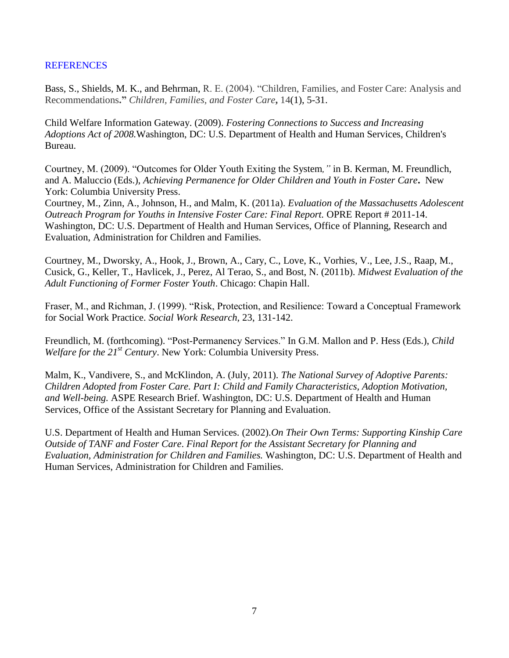### **REFERENCES**

Bass, S., Shields, M. K., and Behrman, R. E. (2004). "Children, Families, and Foster Care: Analysis and Recommendations**."** *Children, Families, and Foster Care***,** 14(1), 5-31.

Child Welfare Information Gateway. (2009). *Fostering Connections to Success and Increasing Adoptions Act of 2008.*Washington, DC: U.S. Department of Health and Human Services, Children's Bureau.

Courtney, M. (2009). "Outcomes for Older Youth Exiting the System*,"* in B. Kerman, M. Freundlich, and A. Maluccio (Eds.), *Achieving Permanence for Older Children and Youth in Foster Care***.** New York: Columbia University Press.

Courtney, M., Zinn, A., Johnson, H., and Malm, K. (2011a). *Evaluation of the Massachusetts Adolescent Outreach Program for Youths in Intensive Foster Care: Final Report.* OPRE Report # 2011-14. Washington, DC: U.S. Department of Health and Human Services, Office of Planning, Research and Evaluation, Administration for Children and Families.

Courtney, M., Dworsky, A., Hook, J., Brown, A., Cary, C., Love, K., Vorhies, V., Lee, J.S., Raap, M., Cusick, G., Keller, T., Havlicek, J., Perez, Al Terao, S., and Bost, N. (2011b). *Midwest Evaluation of the Adult Functioning of Former Foster Youth*. Chicago: Chapin Hall.

Fraser, M., and Richman, J. (1999). "Risk, Protection, and Resilience: Toward a Conceptual Framework for Social Work Practice. *Social Work Research,* 23, 131-142.

Freundlich, M. (forthcoming). "Post-Permanency Services." In G.M. Mallon and P. Hess (Eds.), *Child Welfare for the 21st Century*. New York: Columbia University Press.

Malm, K., Vandivere, S., and McKlindon, A. (July, 2011). *The National Survey of Adoptive Parents: Children Adopted from Foster Care. Part I: Child and Family Characteristics, Adoption Motivation, and Well-being.* ASPE Research Brief. Washington, DC: U.S. Department of Health and Human Services, Office of the Assistant Secretary for Planning and Evaluation.

U.S. Department of Health and Human Services. (2002).*On Their Own Terms: Supporting Kinship Care Outside of TANF and Foster Care*. *Final Report for the Assistant Secretary for Planning and Evaluation, Administration for Children and Families.* Washington, DC: U.S. Department of Health and Human Services, Administration for Children and Families.